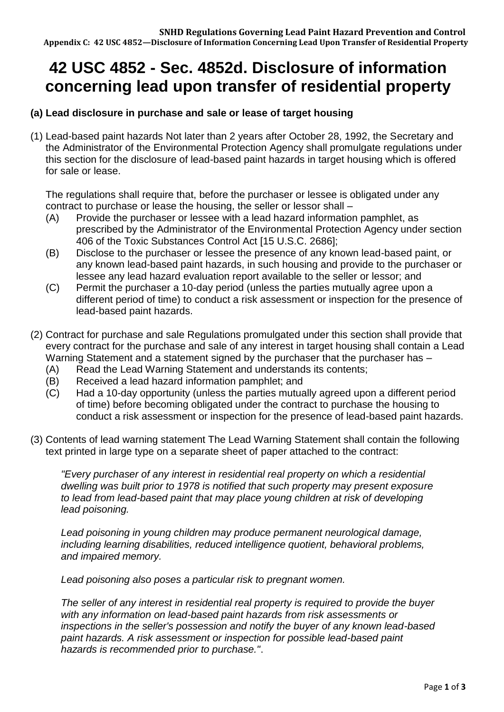# **42 USC 4852 - Sec. 4852d. Disclosure of information concerning lead upon transfer of residential property**

## **(a) Lead disclosure in purchase and sale or lease of target housing**

(1) Lead-based paint hazards Not later than 2 years after October 28, 1992, the Secretary and the Administrator of the Environmental Protection Agency shall promulgate regulations under this section for the disclosure of lead-based paint hazards in target housing which is offered for sale or lease.

The regulations shall require that, before the purchaser or lessee is obligated under any contract to purchase or lease the housing, the seller or lessor shall –

- (A) Provide the purchaser or lessee with a lead hazard information pamphlet, as prescribed by the Administrator of the Environmental Protection Agency under section 406 of the Toxic Substances Control Act [15 U.S.C. 2686];
- (B) Disclose to the purchaser or lessee the presence of any known lead-based paint, or any known lead-based paint hazards, in such housing and provide to the purchaser or lessee any lead hazard evaluation report available to the seller or lessor; and
- (C) Permit the purchaser a 10-day period (unless the parties mutually agree upon a different period of time) to conduct a risk assessment or inspection for the presence of lead-based paint hazards.
- (2) Contract for purchase and sale Regulations promulgated under this section shall provide that every contract for the purchase and sale of any interest in target housing shall contain a Lead Warning Statement and a statement signed by the purchaser that the purchaser has –
	- (A) Read the Lead Warning Statement and understands its contents;
	- (B) Received a lead hazard information pamphlet; and
	- (C) Had a 10-day opportunity (unless the parties mutually agreed upon a different period of time) before becoming obligated under the contract to purchase the housing to conduct a risk assessment or inspection for the presence of lead-based paint hazards.
- (3) Contents of lead warning statement The Lead Warning Statement shall contain the following text printed in large type on a separate sheet of paper attached to the contract:

*"Every purchaser of any interest in residential real property on which a residential dwelling was built prior to 1978 is notified that such property may present exposure to lead from lead-based paint that may place young children at risk of developing lead poisoning.*

*Lead poisoning in young children may produce permanent neurological damage, including learning disabilities, reduced intelligence quotient, behavioral problems, and impaired memory.*

*Lead poisoning also poses a particular risk to pregnant women.*

*The seller of any interest in residential real property is required to provide the buyer with any information on lead-based paint hazards from risk assessments or inspections in the seller's possession and notify the buyer of any known lead-based paint hazards. A risk assessment or inspection for possible lead-based paint hazards is recommended prior to purchase."*.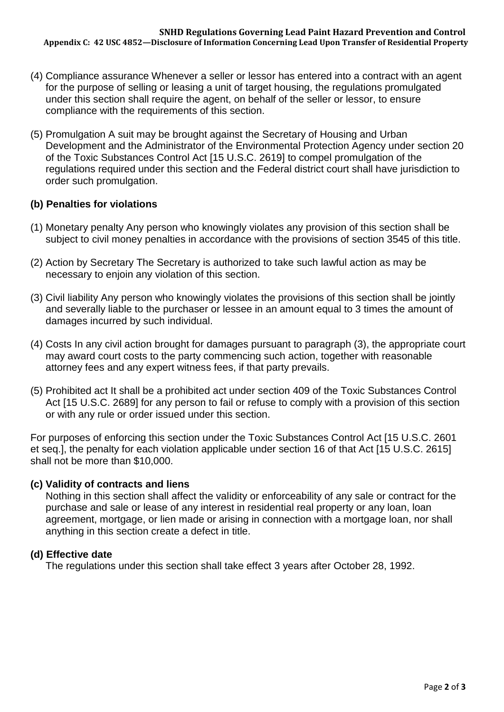- (4) Compliance assurance Whenever a seller or lessor has entered into a contract with an agent for the purpose of selling or leasing a unit of target housing, the regulations promulgated under this section shall require the agent, on behalf of the seller or lessor, to ensure compliance with the requirements of this section.
- (5) Promulgation A suit may be brought against the Secretary of Housing and Urban Development and the Administrator of the Environmental Protection Agency under section 20 of the Toxic Substances Control Act [15 U.S.C. 2619] to compel promulgation of the regulations required under this section and the Federal district court shall have jurisdiction to order such promulgation.

## **(b) Penalties for violations**

- (1) Monetary penalty Any person who knowingly violates any provision of this section shall be subject to civil money penalties in accordance with the provisions of section 3545 of this title.
- (2) Action by Secretary The Secretary is authorized to take such lawful action as may be necessary to enjoin any violation of this section.
- (3) Civil liability Any person who knowingly violates the provisions of this section shall be jointly and severally liable to the purchaser or lessee in an amount equal to 3 times the amount of damages incurred by such individual.
- (4) Costs In any civil action brought for damages pursuant to paragraph (3), the appropriate court may award court costs to the party commencing such action, together with reasonable attorney fees and any expert witness fees, if that party prevails.
- (5) Prohibited act It shall be a prohibited act under section 409 of the Toxic Substances Control Act [15 U.S.C. 2689] for any person to fail or refuse to comply with a provision of this section or with any rule or order issued under this section.

For purposes of enforcing this section under the Toxic Substances Control Act [15 U.S.C. 2601 et seq.], the penalty for each violation applicable under section 16 of that Act [15 U.S.C. 2615] shall not be more than \$10,000.

## **(c) Validity of contracts and liens**

Nothing in this section shall affect the validity or enforceability of any sale or contract for the purchase and sale or lease of any interest in residential real property or any loan, loan agreement, mortgage, or lien made or arising in connection with a mortgage loan, nor shall anything in this section create a defect in title.

## **(d) Effective date**

The regulations under this section shall take effect 3 years after October 28, 1992.